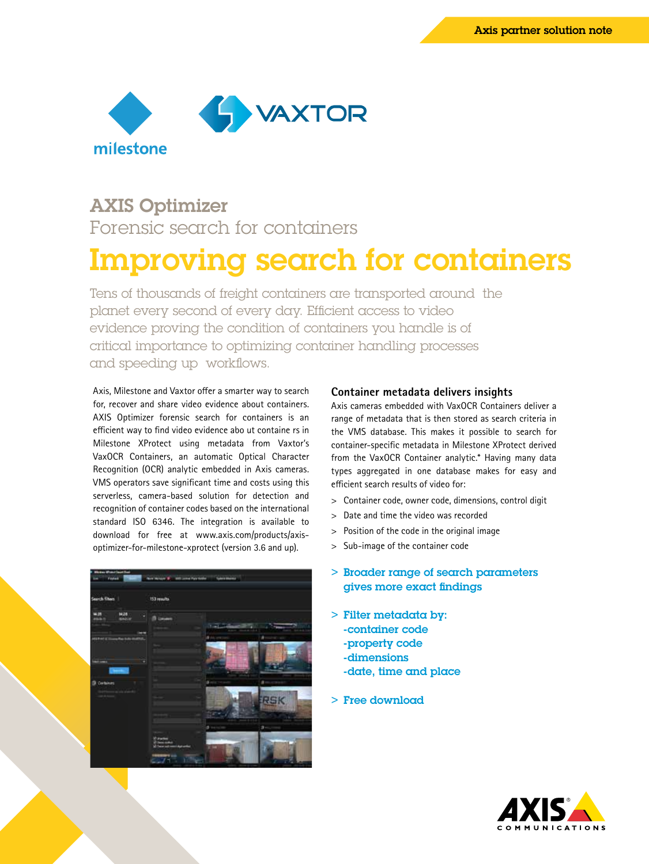

# AXIS Optimizer

Forensic search for containers

# Improving search for containers

Tens of thousands of freight containers are transported around the planet every second of every day. Efficient access to video evidence proving the condition of containers you handle is of critical importance to optimizing container handling processes and speeding up workflows.

Axis, Milestone and Vaxtor offer a smarter way to search for, recover and share video evidence about containers. AXIS Optimizer forensic search for containers is an efficient way to find video evidence abo ut containe rs in Milestone XProtect using metadata from Vaxtor's VaxOCR Containers, an automatic Optical Character Recognition (OCR) analytic embedded in Axis cameras. VMS operators save significant time and costs using this serverless, camera-based solution for detection and recognition of container codes based on the international standard ISO 6346. The integration is available to download for free at www.axis.com/products/axisoptimizer-for-milestone-xprotect (version 3.6 and up).



# **Container metadata delivers insights**

Axis cameras embedded with VaxOCR Containers deliver a range of metadata that is then stored as search criteria in the VMS database. This makes it possible to search for container-specific metadata in Milestone XProtect derived from the VaxOCR Container analytic.\* Having many data types aggregated in one database makes for easy and efficient search results of video for:

- > Container code, owner code, dimensions, control digit
- > Date and time the video was recorded
- > Position of the code in the original image
- > Sub-image of the container code

# > Broader range of search parameters gives more exact findings

- > Filter metadata by: -container code -property code -dimensions -date, time and place
- > Free download